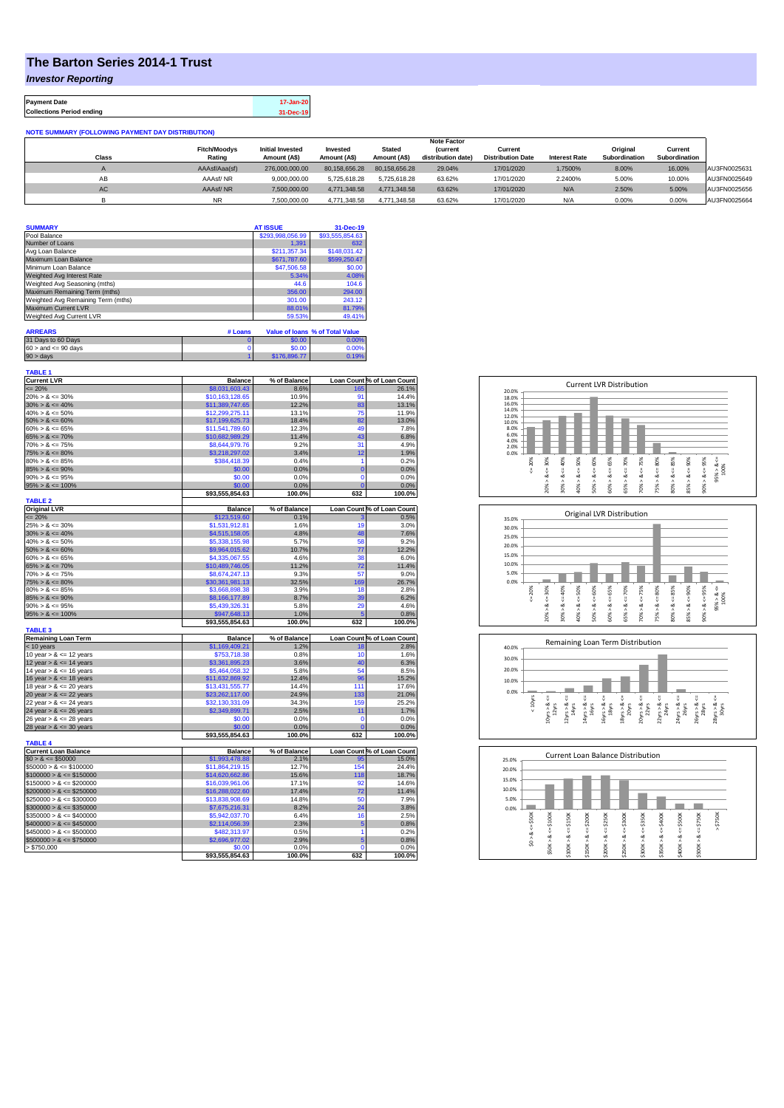## **The Barton Series 2014-1 Trust**

*Investor Reporting*

**Payment Date 17-Jan-20 Collections Period ending 31-Dec-19**

| <b>NOTE SUMMARY (FOLLOWING PAYMENT DAY DISTRIBUTION)</b> |                               |                                         |                          |                               |                                |                                     |                      |                                  |                          |              |
|----------------------------------------------------------|-------------------------------|-----------------------------------------|--------------------------|-------------------------------|--------------------------------|-------------------------------------|----------------------|----------------------------------|--------------------------|--------------|
|                                                          | <b>Note Factor</b>            |                                         |                          |                               |                                |                                     |                      |                                  |                          |              |
| <b>Class</b>                                             | <b>Fitch/Moodvs</b><br>Rating | <b>Initial Invested</b><br>Amount (A\$) | Invested<br>Amount (A\$) | <b>Stated</b><br>Amount (A\$) | (current<br>distribution date) | Current<br><b>Distribution Date</b> | <b>Interest Rate</b> | Original<br><b>Subordination</b> | Current<br>Subordination |              |
| n                                                        | AAAsf/Aaa(sf)                 | 276,000,000.00                          | 80.158.656.28            | 80.158.656.28                 | 29.04%                         | 17/01/2020                          | 1.7500%              | 8.00%                            | 16.00%                   | AU3FN0025631 |
| AB                                                       | AAAsf/NR                      | 9.000.000.00                            | 5.725.618.28             | 5.725.618.28                  | 63.62%                         | 17/01/2020                          | 2.2400%              | 5.00%                            | 10.00%                   | AU3FN0025649 |
| AC                                                       | AAAsf/NR                      | 7,500,000.00                            | 4.771.348.58             | 4.771.348.58                  | 63.62%                         | 17/01/2020                          | N/A                  | 2.50%                            | 5.00%                    | AU3FN0025656 |
|                                                          | <b>NR</b>                     | 7.500.000.00                            | 4.771.348.58             | 4.771.348.58                  | 63.62%                         | 17/01/2020                          | N/A                  | 0.00%                            | 0.00%                    | AU3FN0025664 |

| <b>SUMMARY</b>                     |         | <b>AT ISSUE</b>  | 31-Dec-19                       |
|------------------------------------|---------|------------------|---------------------------------|
| Pool Balance                       |         | \$293.998.056.99 | \$93,555,854,63                 |
| Number of Loans                    |         | 1.391            | 632                             |
| Avg Loan Balance                   |         | \$211.357.34     | \$148,031.42                    |
| Maximum Loan Balance               |         | \$671,787.60     | \$599,250.47                    |
| Minimum Loan Balance               |         | \$47,506.58      | \$0.00                          |
| Weighted Avg Interest Rate         |         | 5.34%            | 4.08%                           |
| Weighted Avg Seasoning (mths)      |         | 44.6             | 104.6                           |
| Maximum Remaining Term (mths)      |         | 356.00           | 294.00                          |
| Weighted Avg Remaining Term (mths) |         | 301.00           | 243.12                          |
| <b>Maximum Current LVR</b>         |         | 88.01%           | 81.79%                          |
| Weighted Avg Current LVR           |         | 59.53%           | 49.41%                          |
| <b>ARREARS</b>                     | # Loans |                  | Value of Ioans % of Total Value |

| .                         | -------- |              | $\sim$ 0.000 $\sim$ 1.000 $\sim$ 1.000 $\sim$ 1.000 $\sim$ 1.000 $\sim$ |
|---------------------------|----------|--------------|-------------------------------------------------------------------------|
| 31 Days to 60 Days        |          | \$0.00       | $0.00\%$                                                                |
| $60 >$ and $\leq 90$ days |          | \$0.00       | $0.00\%$                                                                |
| $90 > \text{days}$        |          | \$176,896.77 | 0.19%                                                                   |

| TABLE 1                     |                           |                |                 |                            |
|-----------------------------|---------------------------|----------------|-----------------|----------------------------|
| <b>Current LVR</b>          | <b>Balance</b>            | % of Balance   |                 | Loan Count % of Loan Count |
| $= 20%$                     | \$8,031,603.43            | 8.6%           | 165             | 26.1%                      |
| $20\% > 8 \le 30\%$         | \$10,163,128.65           | 10.9%          | 91              | 14.4%                      |
| $30\% > 8 \le 40\%$         | \$11,389,747.65           | 12.2%          | 83              | 13.1%                      |
| $40\% > 8 \le 50\%$         | \$12,299,275.11           | 13.1%          | 75              | 11.9%                      |
| $50\% > 8 \le 60\%$         | \$17,199,625.73           | 18.4%          | 82              | 13.0%                      |
| $60\% > 8 \le 65\%$         | \$11,541,789.60           | 12.3%          | 49              | 7.8%                       |
| $65\% > 8 \le 70\%$         | \$10,682,989.29           | 11.4%          | 43              | 6.8%                       |
|                             |                           |                | 31              |                            |
| $70\% > 8 \le 75\%$         | \$8,644,979.76            | 9.2%           |                 | 4.9%                       |
| $75\% > 8 \le 80\%$         | \$3,218,297.02            | 3.4%           | 12              | 1.9%                       |
| $80\% > 8 \le 85\%$         | \$384,418.39              | 0.4%           | 1               | 0.2%                       |
| $85\% > 8 \le 90\%$         | \$0.00                    | 0.0%           | $\overline{0}$  | 0.0%                       |
| $90\% > 8 \le 95\%$         | \$0.00                    | 0.0%           | $\overline{0}$  | 0.0%                       |
| $95\% > 8 \le 100\%$        | \$0.00                    | 0.0%           | $\overline{0}$  | 0.0%                       |
|                             | \$93,555,854.63           | 100.0%         | 632             | 100.0%                     |
| <b>TABLE 2</b>              |                           |                |                 |                            |
| <b>Original LVR</b>         | <b>Balance</b>            | % of Balance   |                 | Loan Count % of Loan Count |
| $\epsilon = 20\%$           | \$123,519.60              | 0.1%           |                 | 0.5%                       |
| $25\% > 8 \le 30\%$         | \$1,531,912.81            | 1.6%           | 19              | 3.0%                       |
| $30\% > 8 \le 40\%$         |                           | 4.8%           | 48              | 7.6%                       |
|                             | \$4,515,158.05            |                |                 |                            |
| $40\% > 8 \le 50\%$         | \$5,338,155.98            | 5.7%           | 58              | 9.2%                       |
| $50\% > 8 \le 60\%$         | \$9,964,015.62            | 10.7%          | 77              | 12.2%                      |
| $60\% > 8 \le 65\%$         | \$4,335,067.55            | 4.6%           | 38              | 6.0%                       |
| $65\% > 8 \le 70\%$         | \$10,489,746.05           | 11.2%          | 72              | 11.4%                      |
| $70\% > 8 \le 75\%$         | \$8,674,247.13            | 9.3%           | 57              | 9.0%                       |
| $75\% > 8 \le 80\%$         | \$30,361,981.13           | 32.5%          | 169             | 26.7%                      |
| $80\% > 8 \le 85\%$         | \$3,668,898.38            | 3.9%           | 18              | 2.8%                       |
| $85\% > 8 \le 90\%$         | \$8,166,177.89            | 8.7%           | 39              | 6.2%                       |
| $90\% > 8 \le 95\%$         | \$5,439,326.31            | 5.8%           | 29              | 4.6%                       |
| $95\% > 8 \le 100\%$        | \$947,648.13              | 1.0%           | 5               | 0.8%                       |
|                             | \$93,555,854.63           | 100.0%         | 632             | 100.0%                     |
| <b>TABLE 3</b>              |                           |                |                 |                            |
| <b>Remaining Loan Term</b>  | <b>Balance</b>            | % of Balance   |                 | Loan Count % of Loan Count |
|                             |                           |                |                 |                            |
| $<$ 10 years                | \$1,169,409.21            | 1.2%           | 18              | 2.8%                       |
| 10 year $> 8 \le 12$ years  | \$753.718.38              | 0.8%           | 10              | 1.6%                       |
| 12 year $> 8 \le 14$ years  | \$3,361,895.23            | 3.6%           | 40              | 6.3%                       |
| 14 year $> 8 \le 16$ years  | \$5,464,058.32            | 5.8%           | 54              | 8.5%                       |
| 16 year $> 8 \le 18$ years  | \$11,632,869.92           | 12.4%          | 96              | 15.2%                      |
| 18 year $> 8 \le 20$ years  | \$13,431,555.77           | 14.4%          | 111             | 17.6%                      |
| 20 year $> 8 \le 22$ years  | \$23,262,117.00           | 24.9%          | 133             | 21.0%                      |
| 22 year $> 8 \le 24$ years  | \$32,130,331.09           | 34.3%          | 159             | 25.2%                      |
| 24 year $> 8 \le 26$ years  | \$2,349,899.71            | 2.5%           | 11              | 1.7%                       |
| 26 year $> 8 \le 28$ years  | \$0.00                    | 0.0%           | 0               | 0.0%                       |
| 28 year $> 8 \le 30$ years  | \$0.00                    | 0.0%           | $\overline{0}$  | 0.0%                       |
|                             | \$93,555,854.63           | 100.0%         | 632             | 100.0%                     |
| <b>TABLE 4</b>              |                           |                |                 |                            |
| <b>Current Loan Balance</b> | <b>Balance</b>            |                |                 | Loan Count % of Loan Count |
|                             |                           | % of Balance   |                 |                            |
| $$0 > 8 \le $50000$         | \$1,993,478.88            | 2.1%           | 95              | 15.0%                      |
| $$50000 > 8 \le $100000$    | \$11,864,219.15           | 12.7%          | 154             | 24.4%                      |
| $$100000 > 8 \le $150000$   | \$14,620,662.86           | 15.6%          | 118             | 18.7%                      |
| $$150000 > 8 \le $200000$   | \$16,039,961.06           | 17.1%          | 92              | 14.6%                      |
| $$200000 > 8 \leq $250000$  | \$16,288,022.60           | 17.4%          | 72              | 11.4%                      |
| $$250000 > 8 \le $300000$   | \$13,838,908.69           | 14.8%          | 50              | 7.9%                       |
| $$300000 > 8 \leq $350000$  | \$7,675,216.31            | 8.2%           | 24              | 3.8%                       |
| $$350000 > 8 \le $400000$   | \$5,942,037.70            | 6.4%           | 16              | 2.5%                       |
| $$400000 > 8 \le $450000$   | \$2,114,056.39            | 2.3%           | 5               | 0.8%                       |
| $$450000 > 8 \leq $500000$  | \$482,313,97              | 0.5%           | 1               | 0.2%                       |
|                             |                           |                |                 |                            |
|                             |                           |                |                 |                            |
| $$500000 > 8 \le $750000$   | \$2,696,977.02            | 2.9%           | 5               |                            |
| > \$750,000                 | \$0.00<br>\$93,555,854.63 | 0.0%<br>100.0% | $\Omega$<br>632 | 0.8%<br>0.0%<br>100.0%     |







| 25.0%      |        | Current Loan Balance Distribution |         |        |         |        |         |        |         |          |
|------------|--------|-----------------------------------|---------|--------|---------|--------|---------|--------|---------|----------|
| 20.0%      |        |                                   |         |        |         |        |         |        |         |          |
| 15.0%      |        |                                   |         |        |         |        |         |        |         |          |
| 10.0%      |        |                                   |         |        |         |        |         |        |         |          |
| 5.0%       |        |                                   |         |        |         |        |         |        |         |          |
| 0.0%       |        |                                   |         |        |         |        |         |        |         |          |
| \$50K      | \$100K | \$150K                            | \$200K  | \$250K | \$300K  | \$350K | \$400K  | \$500K | \$750K  | \$750K   |
|            |        |                                   |         |        |         |        |         |        |         | $\wedge$ |
| ∞          | ₹<br>∞ | oð                                | IJ<br>ಹ | œ      | œ       | œ      | œ       | oð     | oð      |          |
| $\hat{50}$ |        | ٨                                 |         | ٨      |         | ٨      |         | ۸      |         |          |
|            | \$50K> | \$100K3                           | \$150K> | \$200K | \$250K> | \$300K | \$350K> | \$400K | \$500K> |          |